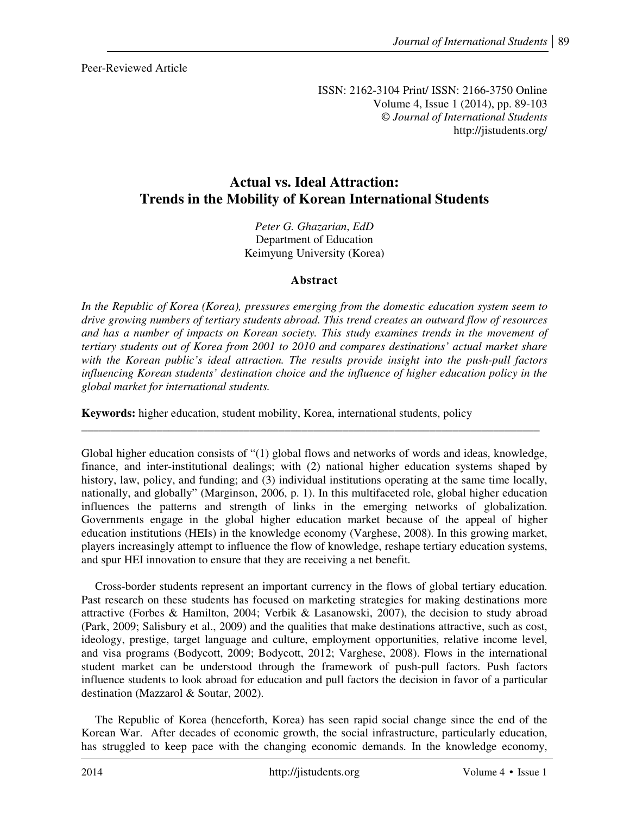Peer-Reviewed Article

ISSN: 2162-3104 Print/ ISSN: 2166-3750 Online Volume 4, Issue 1 (2014), pp. 89-103 © *Journal of International Students*  http://jistudents.org/

# **Actual vs. Ideal Attraction: Trends in the Mobility of Korean International Students**

*Peter G. Ghazarian*, *EdD* Department of Education Keimyung University (Korea)

# **Abstract**

*In the Republic of Korea (Korea), pressures emerging from the domestic education system seem to drive growing numbers of tertiary students abroad. This trend creates an outward flow of resources and has a number of impacts on Korean society. This study examines trends in the movement of tertiary students out of Korea from 2001 to 2010 and compares destinations' actual market share with the Korean public's ideal attraction. The results provide insight into the push-pull factors influencing Korean students' destination choice and the influence of higher education policy in the global market for international students.*

**Keywords:** higher education, student mobility, Korea, international students, policy

Global higher education consists of "(1) global flows and networks of words and ideas, knowledge, finance, and inter-institutional dealings; with (2) national higher education systems shaped by history, law, policy, and funding; and (3) individual institutions operating at the same time locally, nationally, and globally" (Marginson, 2006, p. 1). In this multifaceted role, global higher education influences the patterns and strength of links in the emerging networks of globalization. Governments engage in the global higher education market because of the appeal of higher education institutions (HEIs) in the knowledge economy (Varghese, 2008). In this growing market, players increasingly attempt to influence the flow of knowledge, reshape tertiary education systems, and spur HEI innovation to ensure that they are receiving a net benefit.

\_\_\_\_\_\_\_\_\_\_\_\_\_\_\_\_\_\_\_\_\_\_\_\_\_\_\_\_\_\_\_\_\_\_\_\_\_\_\_\_\_\_\_\_\_\_\_\_\_\_\_\_\_\_\_\_\_\_\_\_\_\_\_\_\_\_\_\_\_\_\_\_\_\_\_\_\_\_\_

Cross-border students represent an important currency in the flows of global tertiary education. Past research on these students has focused on marketing strategies for making destinations more attractive (Forbes & Hamilton, 2004; Verbik & Lasanowski, 2007), the decision to study abroad (Park, 2009; Salisbury et al., 2009) and the qualities that make destinations attractive, such as cost, ideology, prestige, target language and culture, employment opportunities, relative income level, and visa programs (Bodycott, 2009; Bodycott, 2012; Varghese, 2008). Flows in the international student market can be understood through the framework of push-pull factors. Push factors influence students to look abroad for education and pull factors the decision in favor of a particular destination (Mazzarol & Soutar, 2002).

The Republic of Korea (henceforth, Korea) has seen rapid social change since the end of the Korean War. After decades of economic growth, the social infrastructure, particularly education, has struggled to keep pace with the changing economic demands. In the knowledge economy,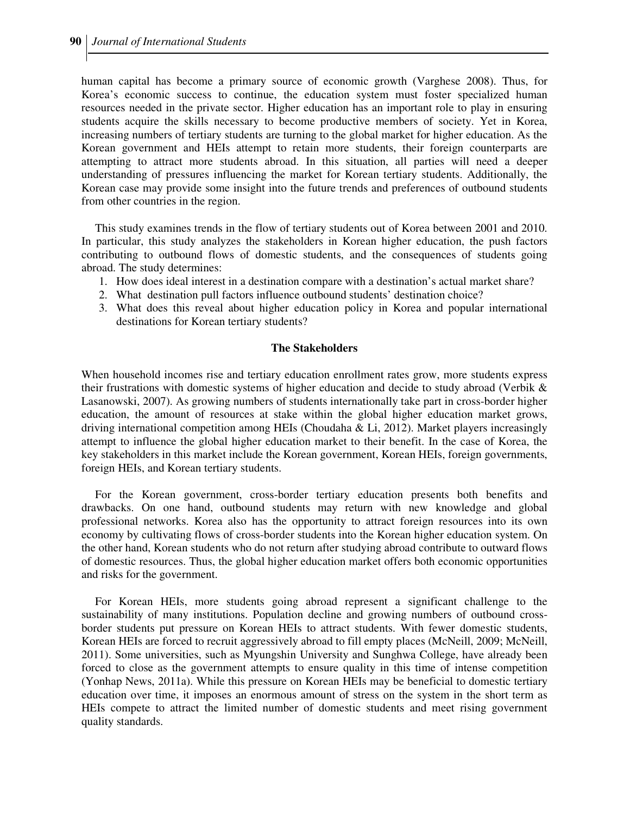human capital has become a primary source of economic growth (Varghese 2008). Thus, for Korea's economic success to continue, the education system must foster specialized human resources needed in the private sector. Higher education has an important role to play in ensuring students acquire the skills necessary to become productive members of society. Yet in Korea, increasing numbers of tertiary students are turning to the global market for higher education. As the Korean government and HEIs attempt to retain more students, their foreign counterparts are attempting to attract more students abroad. In this situation, all parties will need a deeper understanding of pressures influencing the market for Korean tertiary students. Additionally, the Korean case may provide some insight into the future trends and preferences of outbound students from other countries in the region.

This study examines trends in the flow of tertiary students out of Korea between 2001 and 2010. In particular, this study analyzes the stakeholders in Korean higher education, the push factors contributing to outbound flows of domestic students, and the consequences of students going abroad. The study determines:

- 1. How does ideal interest in a destination compare with a destination's actual market share?
- 2. What destination pull factors influence outbound students' destination choice?
- 3. What does this reveal about higher education policy in Korea and popular international destinations for Korean tertiary students?

### **The Stakeholders**

When household incomes rise and tertiary education enrollment rates grow, more students express their frustrations with domestic systems of higher education and decide to study abroad (Verbik & Lasanowski, 2007). As growing numbers of students internationally take part in cross-border higher education, the amount of resources at stake within the global higher education market grows, driving international competition among HEIs (Choudaha & Li, 2012). Market players increasingly attempt to influence the global higher education market to their benefit. In the case of Korea, the key stakeholders in this market include the Korean government, Korean HEIs, foreign governments, foreign HEIs, and Korean tertiary students.

For the Korean government, cross-border tertiary education presents both benefits and drawbacks. On one hand, outbound students may return with new knowledge and global professional networks. Korea also has the opportunity to attract foreign resources into its own economy by cultivating flows of cross-border students into the Korean higher education system. On the other hand, Korean students who do not return after studying abroad contribute to outward flows of domestic resources. Thus, the global higher education market offers both economic opportunities and risks for the government.

For Korean HEIs, more students going abroad represent a significant challenge to the sustainability of many institutions. Population decline and growing numbers of outbound crossborder students put pressure on Korean HEIs to attract students. With fewer domestic students, Korean HEIs are forced to recruit aggressively abroad to fill empty places (McNeill, 2009; McNeill, 2011). Some universities, such as Myungshin University and Sunghwa College, have already been forced to close as the government attempts to ensure quality in this time of intense competition (Yonhap News, 2011a). While this pressure on Korean HEIs may be beneficial to domestic tertiary education over time, it imposes an enormous amount of stress on the system in the short term as HEIs compete to attract the limited number of domestic students and meet rising government quality standards.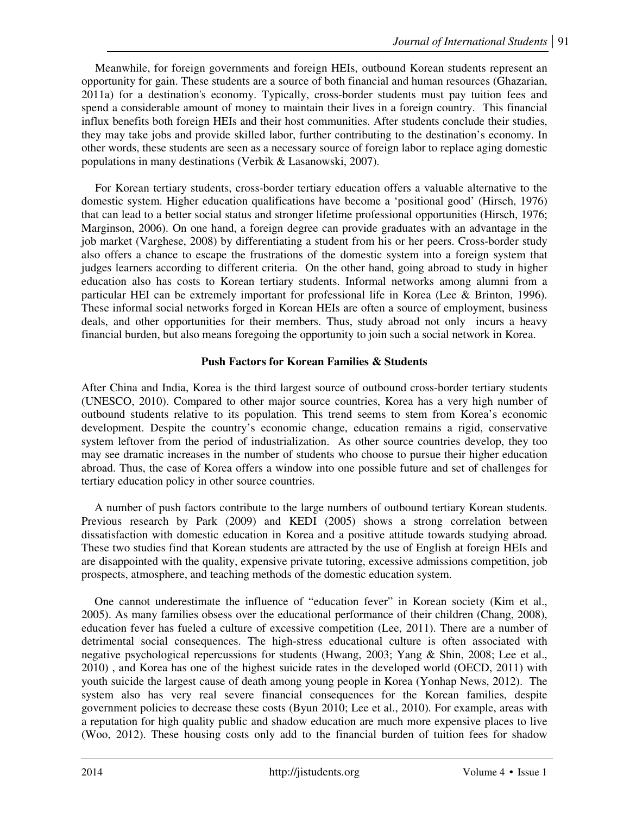Meanwhile, for foreign governments and foreign HEIs, outbound Korean students represent an opportunity for gain. These students are a source of both financial and human resources (Ghazarian, 2011a) for a destination's economy. Typically, cross-border students must pay tuition fees and spend a considerable amount of money to maintain their lives in a foreign country. This financial influx benefits both foreign HEIs and their host communities. After students conclude their studies, they may take jobs and provide skilled labor, further contributing to the destination's economy. In other words, these students are seen as a necessary source of foreign labor to replace aging domestic populations in many destinations (Verbik & Lasanowski, 2007).

For Korean tertiary students, cross-border tertiary education offers a valuable alternative to the domestic system. Higher education qualifications have become a 'positional good' (Hirsch, 1976) that can lead to a better social status and stronger lifetime professional opportunities (Hirsch, 1976; Marginson, 2006). On one hand, a foreign degree can provide graduates with an advantage in the job market (Varghese, 2008) by differentiating a student from his or her peers. Cross-border study also offers a chance to escape the frustrations of the domestic system into a foreign system that judges learners according to different criteria. On the other hand, going abroad to study in higher education also has costs to Korean tertiary students. Informal networks among alumni from a particular HEI can be extremely important for professional life in Korea (Lee & Brinton, 1996). These informal social networks forged in Korean HEIs are often a source of employment, business deals, and other opportunities for their members. Thus, study abroad not only incurs a heavy financial burden, but also means foregoing the opportunity to join such a social network in Korea.

# **Push Factors for Korean Families & Students**

After China and India, Korea is the third largest source of outbound cross-border tertiary students (UNESCO, 2010). Compared to other major source countries, Korea has a very high number of outbound students relative to its population. This trend seems to stem from Korea's economic development. Despite the country's economic change, education remains a rigid, conservative system leftover from the period of industrialization. As other source countries develop, they too may see dramatic increases in the number of students who choose to pursue their higher education abroad. Thus, the case of Korea offers a window into one possible future and set of challenges for tertiary education policy in other source countries.

A number of push factors contribute to the large numbers of outbound tertiary Korean students. Previous research by Park (2009) and KEDI (2005) shows a strong correlation between dissatisfaction with domestic education in Korea and a positive attitude towards studying abroad. These two studies find that Korean students are attracted by the use of English at foreign HEIs and are disappointed with the quality, expensive private tutoring, excessive admissions competition, job prospects, atmosphere, and teaching methods of the domestic education system.

One cannot underestimate the influence of "education fever" in Korean society (Kim et al., 2005). As many families obsess over the educational performance of their children (Chang, 2008), education fever has fueled a culture of excessive competition (Lee, 2011). There are a number of detrimental social consequences. The high-stress educational culture is often associated with negative psychological repercussions for students (Hwang, 2003; Yang & Shin, 2008; Lee et al., 2010) , and Korea has one of the highest suicide rates in the developed world (OECD, 2011) with youth suicide the largest cause of death among young people in Korea (Yonhap News, 2012). The system also has very real severe financial consequences for the Korean families, despite government policies to decrease these costs (Byun 2010; Lee et al., 2010). For example, areas with a reputation for high quality public and shadow education are much more expensive places to live (Woo, 2012). These housing costs only add to the financial burden of tuition fees for shadow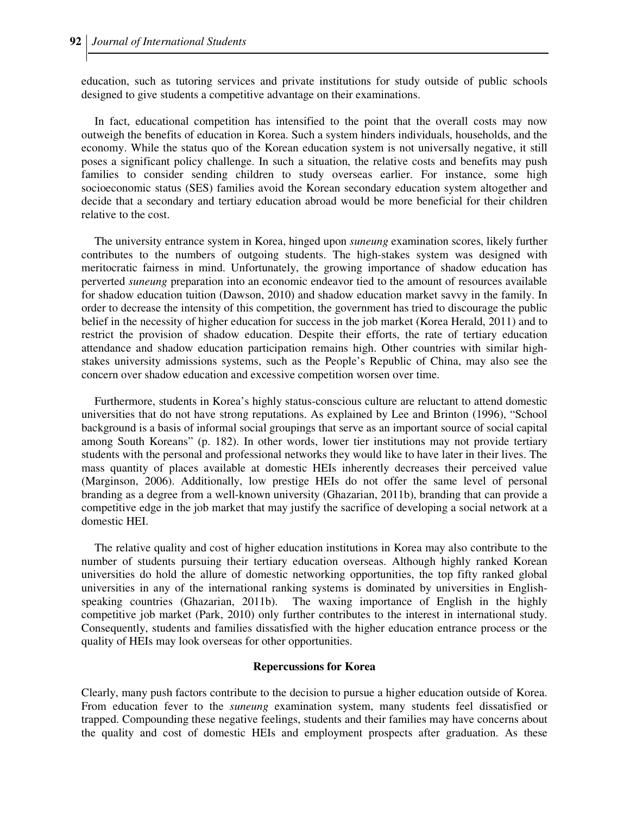education, such as tutoring services and private institutions for study outside of public schools designed to give students a competitive advantage on their examinations.

In fact, educational competition has intensified to the point that the overall costs may now outweigh the benefits of education in Korea. Such a system hinders individuals, households, and the economy. While the status quo of the Korean education system is not universally negative, it still poses a significant policy challenge. In such a situation, the relative costs and benefits may push families to consider sending children to study overseas earlier. For instance, some high socioeconomic status (SES) families avoid the Korean secondary education system altogether and decide that a secondary and tertiary education abroad would be more beneficial for their children relative to the cost.

The university entrance system in Korea, hinged upon *suneung* examination scores, likely further contributes to the numbers of outgoing students. The high-stakes system was designed with meritocratic fairness in mind. Unfortunately, the growing importance of shadow education has perverted *suneung* preparation into an economic endeavor tied to the amount of resources available for shadow education tuition (Dawson, 2010) and shadow education market savvy in the family. In order to decrease the intensity of this competition, the government has tried to discourage the public belief in the necessity of higher education for success in the job market (Korea Herald, 2011) and to restrict the provision of shadow education. Despite their efforts, the rate of tertiary education attendance and shadow education participation remains high. Other countries with similar highstakes university admissions systems, such as the People's Republic of China, may also see the concern over shadow education and excessive competition worsen over time.

Furthermore, students in Korea's highly status-conscious culture are reluctant to attend domestic universities that do not have strong reputations. As explained by Lee and Brinton (1996), "School background is a basis of informal social groupings that serve as an important source of social capital among South Koreans" (p. 182). In other words, lower tier institutions may not provide tertiary students with the personal and professional networks they would like to have later in their lives. The mass quantity of places available at domestic HEIs inherently decreases their perceived value (Marginson, 2006). Additionally, low prestige HEIs do not offer the same level of personal branding as a degree from a well-known university (Ghazarian, 2011b), branding that can provide a competitive edge in the job market that may justify the sacrifice of developing a social network at a domestic HEI.

The relative quality and cost of higher education institutions in Korea may also contribute to the number of students pursuing their tertiary education overseas. Although highly ranked Korean universities do hold the allure of domestic networking opportunities, the top fifty ranked global universities in any of the international ranking systems is dominated by universities in Englishspeaking countries (Ghazarian, 2011b). The waxing importance of English in the highly competitive job market (Park, 2010) only further contributes to the interest in international study. Consequently, students and families dissatisfied with the higher education entrance process or the quality of HEIs may look overseas for other opportunities.

#### **Repercussions for Korea**

Clearly, many push factors contribute to the decision to pursue a higher education outside of Korea. From education fever to the *suneung* examination system, many students feel dissatisfied or trapped. Compounding these negative feelings, students and their families may have concerns about the quality and cost of domestic HEIs and employment prospects after graduation. As these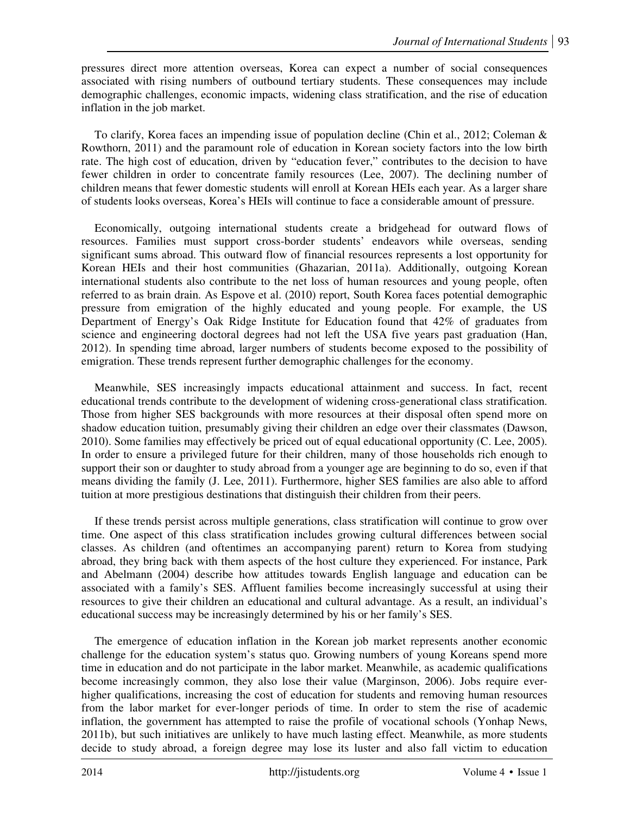pressures direct more attention overseas, Korea can expect a number of social consequences associated with rising numbers of outbound tertiary students. These consequences may include demographic challenges, economic impacts, widening class stratification, and the rise of education inflation in the job market.

To clarify, Korea faces an impending issue of population decline (Chin et al., 2012; Coleman & Rowthorn, 2011) and the paramount role of education in Korean society factors into the low birth rate. The high cost of education, driven by "education fever," contributes to the decision to have fewer children in order to concentrate family resources (Lee, 2007). The declining number of children means that fewer domestic students will enroll at Korean HEIs each year. As a larger share of students looks overseas, Korea's HEIs will continue to face a considerable amount of pressure.

Economically, outgoing international students create a bridgehead for outward flows of resources. Families must support cross-border students' endeavors while overseas, sending significant sums abroad. This outward flow of financial resources represents a lost opportunity for Korean HEIs and their host communities (Ghazarian, 2011a). Additionally, outgoing Korean international students also contribute to the net loss of human resources and young people, often referred to as brain drain. As Espove et al. (2010) report, South Korea faces potential demographic pressure from emigration of the highly educated and young people. For example, the US Department of Energy's Oak Ridge Institute for Education found that 42% of graduates from science and engineering doctoral degrees had not left the USA five years past graduation (Han, 2012). In spending time abroad, larger numbers of students become exposed to the possibility of emigration. These trends represent further demographic challenges for the economy.

Meanwhile, SES increasingly impacts educational attainment and success. In fact, recent educational trends contribute to the development of widening cross-generational class stratification. Those from higher SES backgrounds with more resources at their disposal often spend more on shadow education tuition, presumably giving their children an edge over their classmates (Dawson, 2010). Some families may effectively be priced out of equal educational opportunity (C. Lee, 2005). In order to ensure a privileged future for their children, many of those households rich enough to support their son or daughter to study abroad from a younger age are beginning to do so, even if that means dividing the family (J. Lee, 2011). Furthermore, higher SES families are also able to afford tuition at more prestigious destinations that distinguish their children from their peers.

If these trends persist across multiple generations, class stratification will continue to grow over time. One aspect of this class stratification includes growing cultural differences between social classes. As children (and oftentimes an accompanying parent) return to Korea from studying abroad, they bring back with them aspects of the host culture they experienced. For instance, Park and Abelmann (2004) describe how attitudes towards English language and education can be associated with a family's SES. Affluent families become increasingly successful at using their resources to give their children an educational and cultural advantage. As a result, an individual's educational success may be increasingly determined by his or her family's SES.

The emergence of education inflation in the Korean job market represents another economic challenge for the education system's status quo. Growing numbers of young Koreans spend more time in education and do not participate in the labor market. Meanwhile, as academic qualifications become increasingly common, they also lose their value (Marginson, 2006). Jobs require everhigher qualifications, increasing the cost of education for students and removing human resources from the labor market for ever-longer periods of time. In order to stem the rise of academic inflation, the government has attempted to raise the profile of vocational schools (Yonhap News, 2011b), but such initiatives are unlikely to have much lasting effect. Meanwhile, as more students decide to study abroad, a foreign degree may lose its luster and also fall victim to education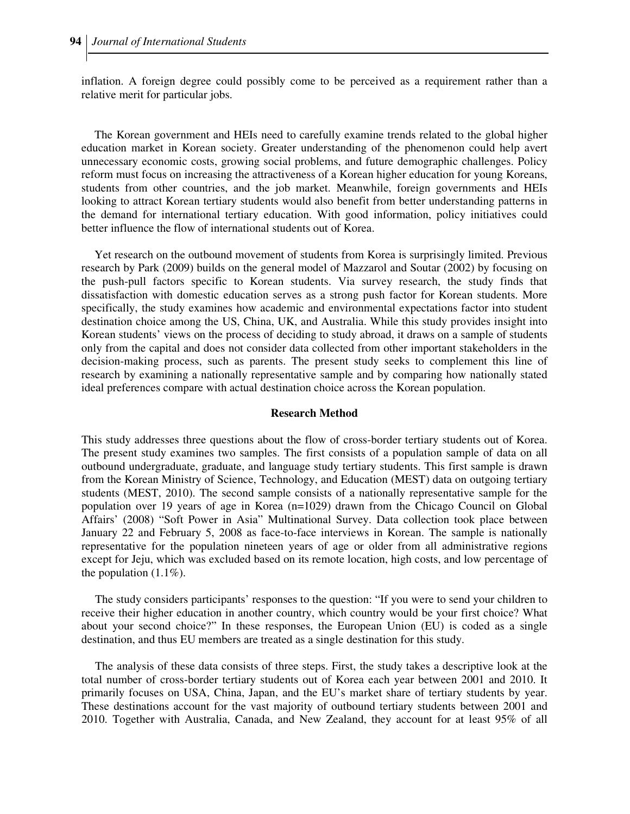inflation. A foreign degree could possibly come to be perceived as a requirement rather than a relative merit for particular jobs.

The Korean government and HEIs need to carefully examine trends related to the global higher education market in Korean society. Greater understanding of the phenomenon could help avert unnecessary economic costs, growing social problems, and future demographic challenges. Policy reform must focus on increasing the attractiveness of a Korean higher education for young Koreans, students from other countries, and the job market. Meanwhile, foreign governments and HEIs looking to attract Korean tertiary students would also benefit from better understanding patterns in the demand for international tertiary education. With good information, policy initiatives could better influence the flow of international students out of Korea.

Yet research on the outbound movement of students from Korea is surprisingly limited. Previous research by Park (2009) builds on the general model of Mazzarol and Soutar (2002) by focusing on the push-pull factors specific to Korean students. Via survey research, the study finds that dissatisfaction with domestic education serves as a strong push factor for Korean students. More specifically, the study examines how academic and environmental expectations factor into student destination choice among the US, China, UK, and Australia. While this study provides insight into Korean students' views on the process of deciding to study abroad, it draws on a sample of students only from the capital and does not consider data collected from other important stakeholders in the decision-making process, such as parents. The present study seeks to complement this line of research by examining a nationally representative sample and by comparing how nationally stated ideal preferences compare with actual destination choice across the Korean population.

#### **Research Method**

This study addresses three questions about the flow of cross-border tertiary students out of Korea. The present study examines two samples. The first consists of a population sample of data on all outbound undergraduate, graduate, and language study tertiary students. This first sample is drawn from the Korean Ministry of Science, Technology, and Education (MEST) data on outgoing tertiary students (MEST, 2010). The second sample consists of a nationally representative sample for the population over 19 years of age in Korea (n=1029) drawn from the Chicago Council on Global Affairs' (2008) "Soft Power in Asia" Multinational Survey. Data collection took place between January 22 and February 5, 2008 as face-to-face interviews in Korean. The sample is nationally representative for the population nineteen years of age or older from all administrative regions except for Jeju, which was excluded based on its remote location, high costs, and low percentage of the population  $(1.1\%)$ .

The study considers participants' responses to the question: "If you were to send your children to receive their higher education in another country, which country would be your first choice? What about your second choice?" In these responses, the European Union (EU) is coded as a single destination, and thus EU members are treated as a single destination for this study.

The analysis of these data consists of three steps. First, the study takes a descriptive look at the total number of cross-border tertiary students out of Korea each year between 2001 and 2010. It primarily focuses on USA, China, Japan, and the EU's market share of tertiary students by year. These destinations account for the vast majority of outbound tertiary students between 2001 and 2010. Together with Australia, Canada, and New Zealand, they account for at least 95% of all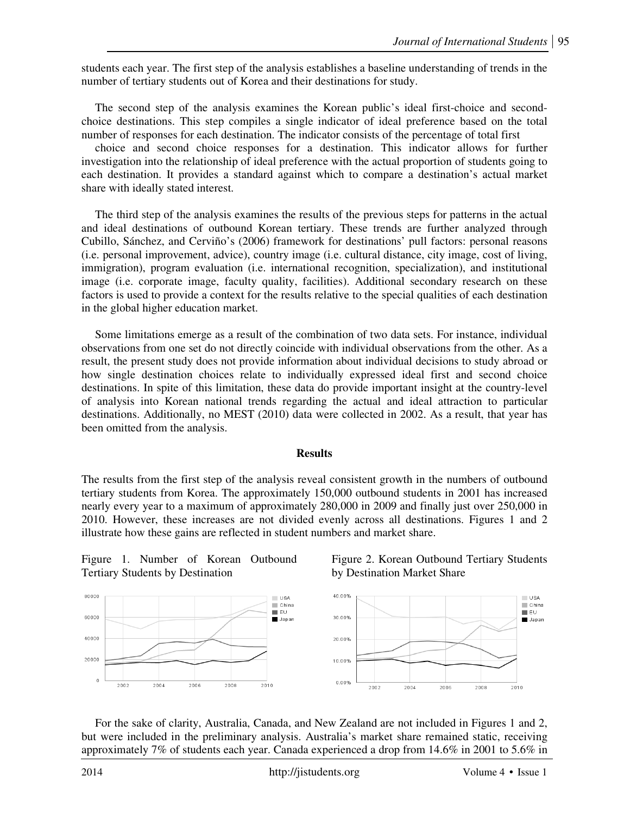students each year. The first step of the analysis establishes a baseline understanding of trends in the number of tertiary students out of Korea and their destinations for study.

The second step of the analysis examines the Korean public's ideal first-choice and secondchoice destinations. This step compiles a single indicator of ideal preference based on the total number of responses for each destination. The indicator consists of the percentage of total first

choice and second choice responses for a destination. This indicator allows for further investigation into the relationship of ideal preference with the actual proportion of students going to each destination. It provides a standard against which to compare a destination's actual market share with ideally stated interest.

The third step of the analysis examines the results of the previous steps for patterns in the actual and ideal destinations of outbound Korean tertiary. These trends are further analyzed through Cubillo, Sánchez, and Cerviño's (2006) framework for destinations' pull factors: personal reasons (i.e. personal improvement, advice), country image (i.e. cultural distance, city image, cost of living, immigration), program evaluation (i.e. international recognition, specialization), and institutional image (i.e. corporate image, faculty quality, facilities). Additional secondary research on these factors is used to provide a context for the results relative to the special qualities of each destination in the global higher education market.

Some limitations emerge as a result of the combination of two data sets. For instance, individual observations from one set do not directly coincide with individual observations from the other. As a result, the present study does not provide information about individual decisions to study abroad or how single destination choices relate to individually expressed ideal first and second choice destinations. In spite of this limitation, these data do provide important insight at the country-level of analysis into Korean national trends regarding the actual and ideal attraction to particular destinations. Additionally, no MEST (2010) data were collected in 2002. As a result, that year has been omitted from the analysis.

#### **Results**

The results from the first step of the analysis reveal consistent growth in the numbers of outbound tertiary students from Korea. The approximately 150,000 outbound students in 2001 has increased nearly every year to a maximum of approximately 280,000 in 2009 and finally just over 250,000 in 2010. However, these increases are not divided evenly across all destinations. Figures 1 and 2 illustrate how these gains are reflected in student numbers and market share.

Figure 1. Number of Korean Outbound Tertiary Students by Destination





For the sake of clarity, Australia, Canada, and New Zealand are not included in Figures 1 and 2, but were included in the preliminary analysis. Australia's market share remained static, receiving approximately 7% of students each year. Canada experienced a drop from 14.6% in 2001 to 5.6% in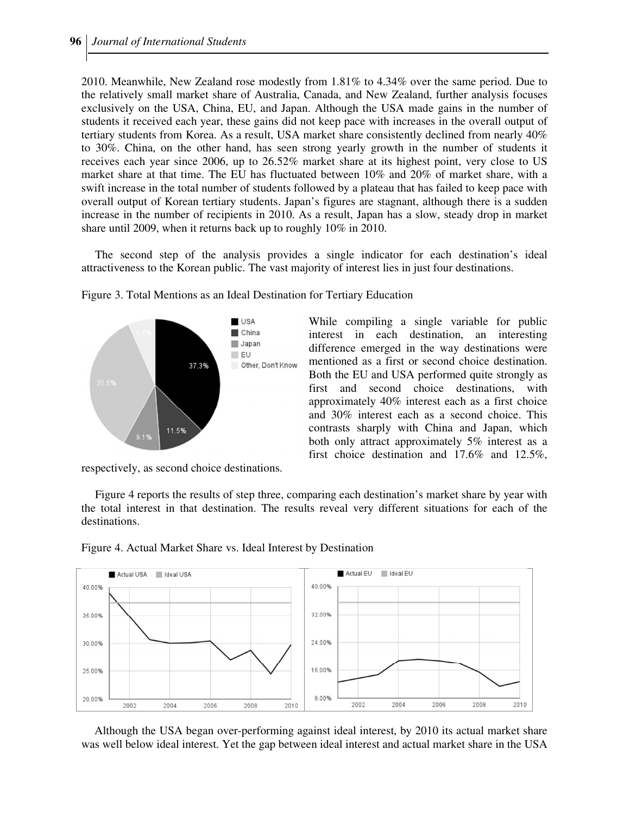2010. Meanwhile, New Zealand rose modestly from 1.81% to 4.34% over the same period. Due to the relatively small market share of Australia, Canada, and New Zealand, further analysis focuses exclusively on the USA, China, EU, and Japan. Although the USA made gains in the number of students it received each year, these gains did not keep pace with increases in the overall output of tertiary students from Korea. As a result, USA market share consistently declined from nearly 40% to 30%. China, on the other hand, has seen strong yearly growth in the number of students it receives each year since 2006, up to 26.52% market share at its highest point, very close to US market share at that time. The EU has fluctuated between 10% and 20% of market share, with a swift increase in the total number of students followed by a plateau that has failed to keep pace with overall output of Korean tertiary students. Japan's figures are stagnant, although there is a sudden increase in the number of recipients in 2010. As a result, Japan has a slow, steady drop in market share until 2009, when it returns back up to roughly 10% in 2010.

The second step of the analysis provides a single indicator for each destination's ideal attractiveness to the Korean public. The vast majority of interest lies in just four destinations.



Figure 3. Total Mentions as an Ideal Destination for Tertiary Education

While compiling a single variable for public interest in each destination, an interesting difference emerged in the way destinations were mentioned as a first or second choice destination. Both the EU and USA performed quite strongly as first and second choice destinations, with approximately 40% interest each as a first choice and 30% interest each as a second choice. This contrasts sharply with China and Japan, which both only attract approximately 5% interest as a first choice destination and 17.6% and 12.5%,

respectively, as second choice destinations.

Figure 4 reports the results of step three, comparing each destination's market share by year with the total interest in that destination. The results reveal very different situations for each of the destinations.



Figure 4. Actual Market Share vs. Ideal Interest by Destination

Although the USA began over-performing against ideal interest, by 2010 its actual market share was well below ideal interest. Yet the gap between ideal interest and actual market share in the USA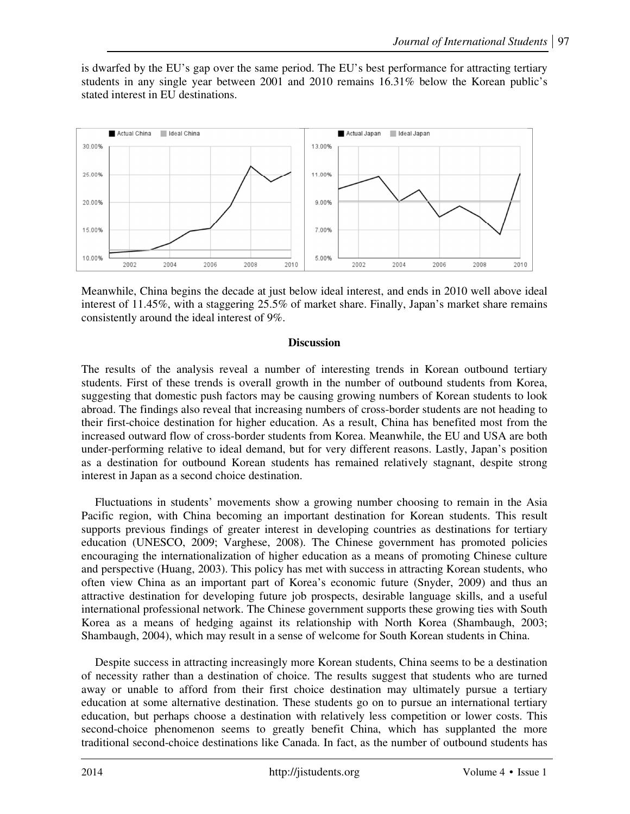is dwarfed by the EU's gap over the same period. The EU's best performance for attracting tertiary students in any single year between 2001 and 2010 remains 16.31% below the Korean public's stated interest in EU destinations.



Meanwhile, China begins the decade at just below ideal interest, and ends in 2010 well above ideal interest of 11.45%, with a staggering 25.5% of market share. Finally, Japan's market share remains consistently around the ideal interest of 9%.

# **Discussion**

The results of the analysis reveal a number of interesting trends in Korean outbound tertiary students. First of these trends is overall growth in the number of outbound students from Korea, suggesting that domestic push factors may be causing growing numbers of Korean students to look abroad. The findings also reveal that increasing numbers of cross-border students are not heading to their first-choice destination for higher education. As a result, China has benefited most from the increased outward flow of cross-border students from Korea. Meanwhile, the EU and USA are both under-performing relative to ideal demand, but for very different reasons. Lastly, Japan's position as a destination for outbound Korean students has remained relatively stagnant, despite strong interest in Japan as a second choice destination.

Fluctuations in students' movements show a growing number choosing to remain in the Asia Pacific region, with China becoming an important destination for Korean students. This result supports previous findings of greater interest in developing countries as destinations for tertiary education (UNESCO, 2009; Varghese, 2008). The Chinese government has promoted policies encouraging the internationalization of higher education as a means of promoting Chinese culture and perspective (Huang, 2003). This policy has met with success in attracting Korean students, who often view China as an important part of Korea's economic future (Snyder, 2009) and thus an attractive destination for developing future job prospects, desirable language skills, and a useful international professional network. The Chinese government supports these growing ties with South Korea as a means of hedging against its relationship with North Korea (Shambaugh, 2003; Shambaugh, 2004), which may result in a sense of welcome for South Korean students in China.

Despite success in attracting increasingly more Korean students, China seems to be a destination of necessity rather than a destination of choice. The results suggest that students who are turned away or unable to afford from their first choice destination may ultimately pursue a tertiary education at some alternative destination. These students go on to pursue an international tertiary education, but perhaps choose a destination with relatively less competition or lower costs. This second-choice phenomenon seems to greatly benefit China, which has supplanted the more traditional second-choice destinations like Canada. In fact, as the number of outbound students has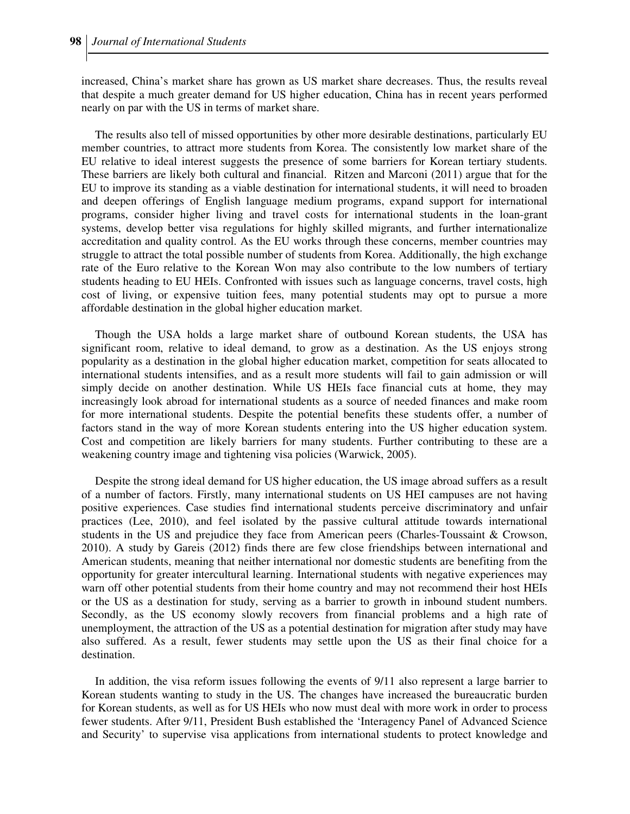increased, China's market share has grown as US market share decreases. Thus, the results reveal that despite a much greater demand for US higher education, China has in recent years performed nearly on par with the US in terms of market share.

The results also tell of missed opportunities by other more desirable destinations, particularly EU member countries, to attract more students from Korea. The consistently low market share of the EU relative to ideal interest suggests the presence of some barriers for Korean tertiary students. These barriers are likely both cultural and financial. Ritzen and Marconi (2011) argue that for the EU to improve its standing as a viable destination for international students, it will need to broaden and deepen offerings of English language medium programs, expand support for international programs, consider higher living and travel costs for international students in the loan-grant systems, develop better visa regulations for highly skilled migrants, and further internationalize accreditation and quality control. As the EU works through these concerns, member countries may struggle to attract the total possible number of students from Korea. Additionally, the high exchange rate of the Euro relative to the Korean Won may also contribute to the low numbers of tertiary students heading to EU HEIs. Confronted with issues such as language concerns, travel costs, high cost of living, or expensive tuition fees, many potential students may opt to pursue a more affordable destination in the global higher education market.

Though the USA holds a large market share of outbound Korean students, the USA has significant room, relative to ideal demand, to grow as a destination. As the US enjoys strong popularity as a destination in the global higher education market, competition for seats allocated to international students intensifies, and as a result more students will fail to gain admission or will simply decide on another destination. While US HEIs face financial cuts at home, they may increasingly look abroad for international students as a source of needed finances and make room for more international students. Despite the potential benefits these students offer, a number of factors stand in the way of more Korean students entering into the US higher education system. Cost and competition are likely barriers for many students. Further contributing to these are a weakening country image and tightening visa policies (Warwick, 2005).

Despite the strong ideal demand for US higher education, the US image abroad suffers as a result of a number of factors. Firstly, many international students on US HEI campuses are not having positive experiences. Case studies find international students perceive discriminatory and unfair practices (Lee, 2010), and feel isolated by the passive cultural attitude towards international students in the US and prejudice they face from American peers (Charles-Toussaint & Crowson, 2010). A study by Gareis (2012) finds there are few close friendships between international and American students, meaning that neither international nor domestic students are benefiting from the opportunity for greater intercultural learning. International students with negative experiences may warn off other potential students from their home country and may not recommend their host HEIs or the US as a destination for study, serving as a barrier to growth in inbound student numbers. Secondly, as the US economy slowly recovers from financial problems and a high rate of unemployment, the attraction of the US as a potential destination for migration after study may have also suffered. As a result, fewer students may settle upon the US as their final choice for a destination.

In addition, the visa reform issues following the events of 9/11 also represent a large barrier to Korean students wanting to study in the US. The changes have increased the bureaucratic burden for Korean students, as well as for US HEIs who now must deal with more work in order to process fewer students. After 9/11, President Bush established the 'Interagency Panel of Advanced Science and Security' to supervise visa applications from international students to protect knowledge and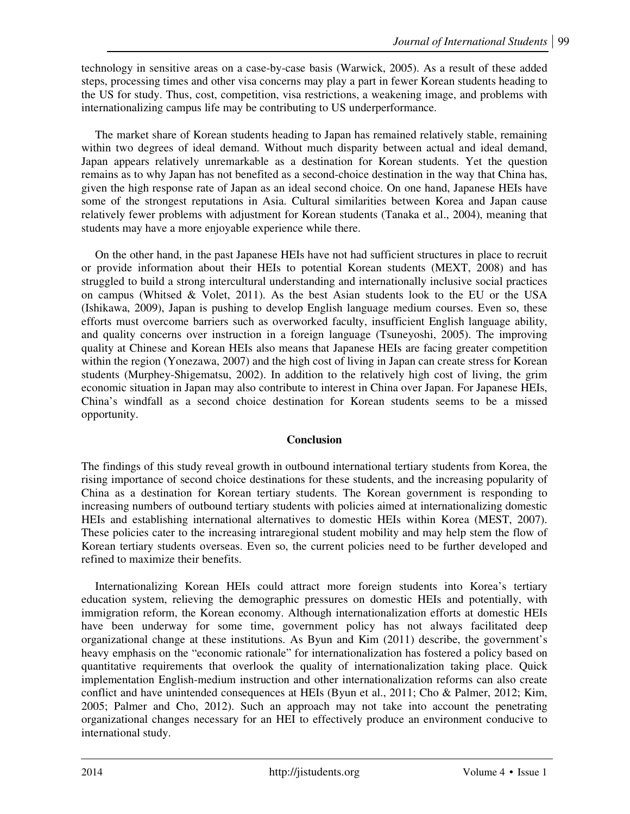technology in sensitive areas on a case-by-case basis (Warwick, 2005). As a result of these added steps, processing times and other visa concerns may play a part in fewer Korean students heading to the US for study. Thus, cost, competition, visa restrictions, a weakening image, and problems with internationalizing campus life may be contributing to US underperformance.

The market share of Korean students heading to Japan has remained relatively stable, remaining within two degrees of ideal demand. Without much disparity between actual and ideal demand, Japan appears relatively unremarkable as a destination for Korean students. Yet the question remains as to why Japan has not benefited as a second-choice destination in the way that China has, given the high response rate of Japan as an ideal second choice. On one hand, Japanese HEIs have some of the strongest reputations in Asia. Cultural similarities between Korea and Japan cause relatively fewer problems with adjustment for Korean students (Tanaka et al., 2004), meaning that students may have a more enjoyable experience while there.

On the other hand, in the past Japanese HEIs have not had sufficient structures in place to recruit or provide information about their HEIs to potential Korean students (MEXT, 2008) and has struggled to build a strong intercultural understanding and internationally inclusive social practices on campus (Whitsed & Volet, 2011). As the best Asian students look to the EU or the USA (Ishikawa, 2009), Japan is pushing to develop English language medium courses. Even so, these efforts must overcome barriers such as overworked faculty, insufficient English language ability, and quality concerns over instruction in a foreign language (Tsuneyoshi, 2005). The improving quality at Chinese and Korean HEIs also means that Japanese HEIs are facing greater competition within the region (Yonezawa, 2007) and the high cost of living in Japan can create stress for Korean students (Murphey-Shigematsu, 2002). In addition to the relatively high cost of living, the grim economic situation in Japan may also contribute to interest in China over Japan. For Japanese HEIs, China's windfall as a second choice destination for Korean students seems to be a missed opportunity.

# **Conclusion**

The findings of this study reveal growth in outbound international tertiary students from Korea, the rising importance of second choice destinations for these students, and the increasing popularity of China as a destination for Korean tertiary students. The Korean government is responding to increasing numbers of outbound tertiary students with policies aimed at internationalizing domestic HEIs and establishing international alternatives to domestic HEIs within Korea (MEST, 2007). These policies cater to the increasing intraregional student mobility and may help stem the flow of Korean tertiary students overseas. Even so, the current policies need to be further developed and refined to maximize their benefits.

Internationalizing Korean HEIs could attract more foreign students into Korea's tertiary education system, relieving the demographic pressures on domestic HEIs and potentially, with immigration reform, the Korean economy. Although internationalization efforts at domestic HEIs have been underway for some time, government policy has not always facilitated deep organizational change at these institutions. As Byun and Kim (2011) describe, the government's heavy emphasis on the "economic rationale" for internationalization has fostered a policy based on quantitative requirements that overlook the quality of internationalization taking place. Quick implementation English-medium instruction and other internationalization reforms can also create conflict and have unintended consequences at HEIs (Byun et al., 2011; Cho & Palmer, 2012; Kim, 2005; Palmer and Cho, 2012). Such an approach may not take into account the penetrating organizational changes necessary for an HEI to effectively produce an environment conducive to international study.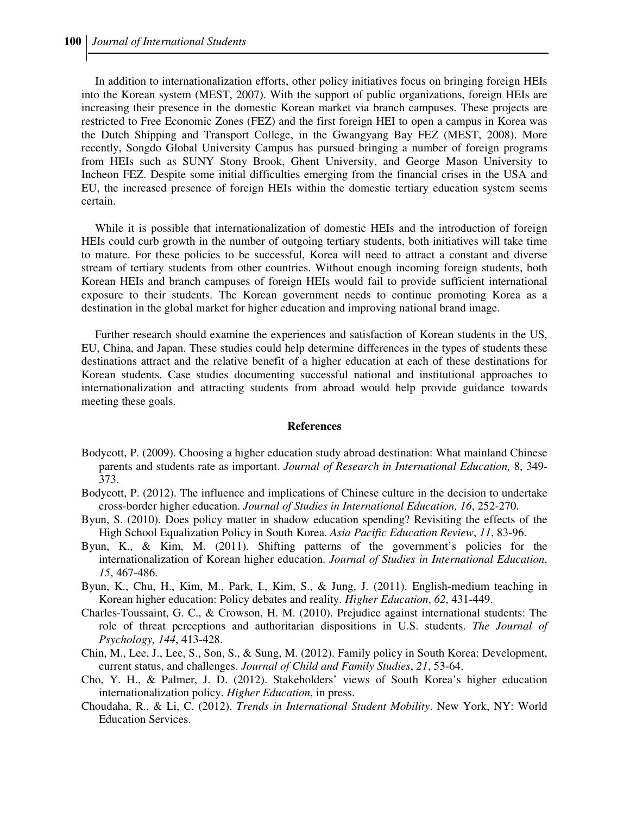In addition to internationalization efforts, other policy initiatives focus on bringing foreign HEIs into the Korean system (MEST, 2007). With the support of public organizations, foreign HEIs are increasing their presence in the domestic Korean market via branch campuses. These projects are restricted to Free Economic Zones (FEZ) and the first foreign HEI to open a campus in Korea was the Dutch Shipping and Transport College, in the Gwangyang Bay FEZ (MEST, 2008). More recently, Songdo Global University Campus has pursued bringing a number of foreign programs from HEIs such as SUNY Stony Brook, Ghent University, and George Mason University to Incheon FEZ. Despite some initial difficulties emerging from the financial crises in the USA and EU, the increased presence of foreign HEIs within the domestic tertiary education system seems certain.

While it is possible that internationalization of domestic HEIs and the introduction of foreign HEIs could curb growth in the number of outgoing tertiary students, both initiatives will take time to mature. For these policies to be successful, Korea will need to attract a constant and diverse stream of tertiary students from other countries. Without enough incoming foreign students, both Korean HEIs and branch campuses of foreign HEIs would fail to provide sufficient international exposure to their students. The Korean government needs to continue promoting Korea as a destination in the global market for higher education and improving national brand image.

Further research should examine the experiences and satisfaction of Korean students in the US, EU, China, and Japan. These studies could help determine differences in the types of students these destinations attract and the relative benefit of a higher education at each of these destinations for Korean students. Case studies documenting successful national and institutional approaches to internationalization and attracting students from abroad would help provide guidance towards meeting these goals.

#### **References**

- Bodycott, P. (2009). Choosing a higher education study abroad destination: What mainland Chinese parents and students rate as important. *Journal of Research in International Education,* 8, 349- 373.
- Bodycott, P. (2012). The influence and implications of Chinese culture in the decision to undertake cross-border higher education. *Journal of Studies in International Education, 16*, 252-270.
- Byun, S. (2010). Does policy matter in shadow education spending? Revisiting the effects of the High School Equalization Policy in South Korea. *Asia Pacific Education Review*, *11*, 83-96.
- Byun, K., & Kim, M. (2011). Shifting patterns of the government's policies for the internationalization of Korean higher education. *Journal of Studies in International Education*, *15*, 467-486.
- Byun, K., Chu, H., Kim, M., Park, I., Kim, S., & Jung, J. (2011). English-medium teaching in Korean higher education: Policy debates and reality. *Higher Education*, *62*, 431-449.
- Charles-Toussaint, G. C., & Crowson, H. M. (2010). Prejudice against international students: The role of threat perceptions and authoritarian dispositions in U.S. students. *The Journal of Psychology, 144*, 413-428.
- Chin, M., Lee, J., Lee, S., Son, S., & Sung, M. (2012). Family policy in South Korea: Development, current status, and challenges. *Journal of Child and Family Studies*, *21*, 53-64.
- Cho, Y. H., & Palmer, J. D. (2012). Stakeholders' views of South Korea's higher education internationalization policy. *Higher Education*, in press.
- Choudaha, R., & Li, C. (2012). *Trends in International Student Mobility*. New York, NY: World Education Services.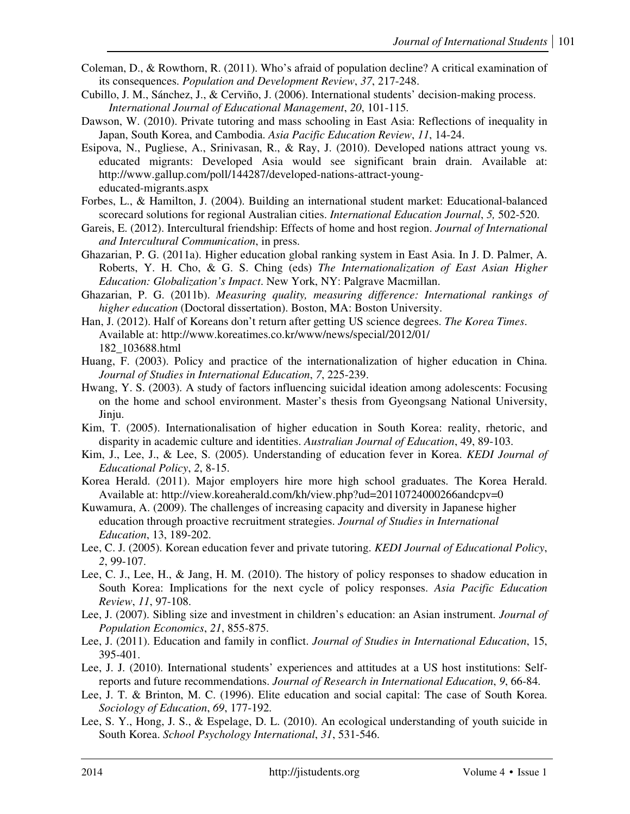- Coleman, D., & Rowthorn, R. (2011). Who's afraid of population decline? A critical examination of its consequences. *Population and Development Review*, *37*, 217-248.
- Cubillo, J. M., Sánchez, J., & Cerviño, J. (2006). International students' decision-making process. *International Journal of Educational Management*, *20*, 101-115.
- Dawson, W. (2010). Private tutoring and mass schooling in East Asia: Reflections of inequality in Japan, South Korea, and Cambodia. *Asia Pacific Education Review*, *11*, 14-24.
- Esipova, N., Pugliese, A., Srinivasan, R., & Ray, J. (2010). Developed nations attract young vs. educated migrants: Developed Asia would see significant brain drain. Available at: http://www.gallup.com/poll/144287/developed-nations-attract-youngeducated-migrants.aspx
- Forbes, L., & Hamilton, J. (2004). Building an international student market: Educational-balanced scorecard solutions for regional Australian cities. *International Education Journal*, *5,* 502-520.
- Gareis, E. (2012). Intercultural friendship: Effects of home and host region. *Journal of International and Intercultural Communication*, in press.
- Ghazarian, P. G. (2011a). Higher education global ranking system in East Asia. In J. D. Palmer, A. Roberts, Y. H. Cho, & G. S. Ching (eds) *The Internationalization of East Asian Higher Education: Globalization's Impact*. New York, NY: Palgrave Macmillan.
- Ghazarian, P. G. (2011b). *Measuring quality, measuring difference: International rankings of higher education* (Doctoral dissertation). Boston, MA: Boston University.
- Han, J. (2012). Half of Koreans don't return after getting US science degrees. *The Korea Times*. Available at: http://www.koreatimes.co.kr/www/news/special/2012/01/ 182\_103688.html
- Huang, F. (2003). Policy and practice of the internationalization of higher education in China. *Journal of Studies in International Education*, *7*, 225-239.
- Hwang, Y. S. (2003). A study of factors influencing suicidal ideation among adolescents: Focusing on the home and school environment. Master's thesis from Gyeongsang National University, Jinju.
- Kim, T. (2005). Internationalisation of higher education in South Korea: reality, rhetoric, and disparity in academic culture and identities. *Australian Journal of Education*, 49, 89-103.
- Kim, J., Lee, J., & Lee, S. (2005). Understanding of education fever in Korea. *KEDI Journal of Educational Policy*, *2*, 8-15.
- Korea Herald. (2011). Major employers hire more high school graduates. The Korea Herald. Available at: http://view.koreaherald.com/kh/view.php?ud=20110724000266andcpv=0
- Kuwamura, A. (2009). The challenges of increasing capacity and diversity in Japanese higher education through proactive recruitment strategies. *Journal of Studies in International Education*, 13, 189-202.
- Lee, C. J. (2005). Korean education fever and private tutoring. *KEDI Journal of Educational Policy*, *2*, 99-107.
- Lee, C. J., Lee, H., & Jang, H. M. (2010). The history of policy responses to shadow education in South Korea: Implications for the next cycle of policy responses. *Asia Pacific Education Review*, *11*, 97-108.
- Lee, J. (2007). Sibling size and investment in children's education: an Asian instrument. *Journal of Population Economics*, *21*, 855-875.
- Lee, J. (2011). Education and family in conflict. *Journal of Studies in International Education*, 15, 395-401.
- Lee, J. J. (2010). International students' experiences and attitudes at a US host institutions: Selfreports and future recommendations. *Journal of Research in International Education*, *9*, 66-84.
- Lee, J. T. & Brinton, M. C. (1996). Elite education and social capital: The case of South Korea. *Sociology of Education*, *69*, 177-192.
- Lee, S. Y., Hong, J. S., & Espelage, D. L. (2010). An ecological understanding of youth suicide in South Korea. *School Psychology International*, *31*, 531-546.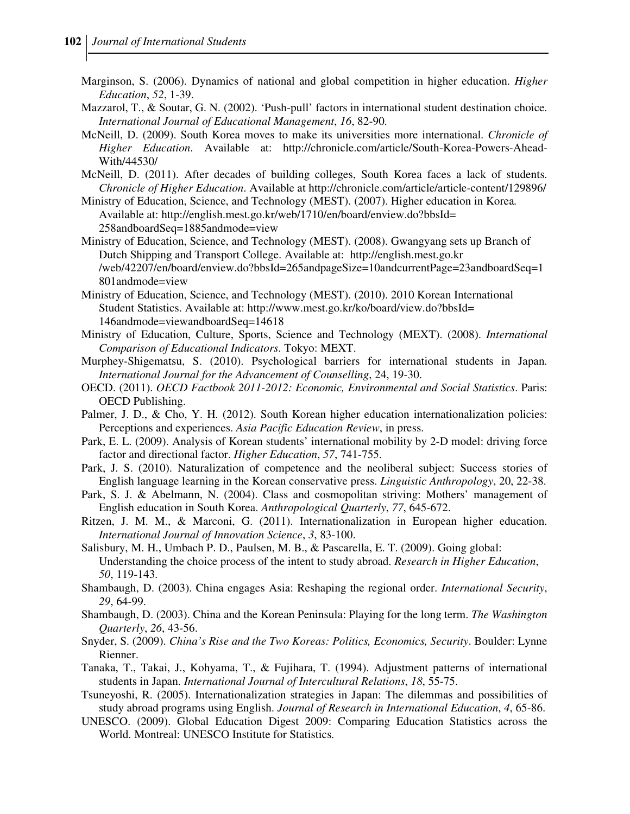- Marginson, S. (2006). Dynamics of national and global competition in higher education. *Higher Education*, *52*, 1-39.
- Mazzarol, T., & Soutar, G. N. (2002). 'Push-pull' factors in international student destination choice. *International Journal of Educational Management*, *16*, 82-90.
- McNeill, D. (2009). South Korea moves to make its universities more international. *Chronicle of Higher Education*. Available at: http://chronicle.com/article/South-Korea-Powers-Ahead-With/44530/
- McNeill, D. (2011). After decades of building colleges, South Korea faces a lack of students. *Chronicle of Higher Education*. Available at http://chronicle.com/article/article-content/129896/
- Ministry of Education, Science, and Technology (MEST). (2007). Higher education in Korea*.*  Available at: http://english.mest.go.kr/web/1710/en/board/enview.do?bbsId= 258andboardSeq=1885andmode=view
- Ministry of Education, Science, and Technology (MEST). (2008). Gwangyang sets up Branch of Dutch Shipping and Transport College. Available at: http://english.mest.go.kr /web/42207/en/board/enview.do?bbsId=265andpageSize=10andcurrentPage=23andboardSeq=1 801andmode=view
- Ministry of Education, Science, and Technology (MEST). (2010). 2010 Korean International Student Statistics. Available at: http://www.mest.go.kr/ko/board/view.do?bbsId= 146andmode=viewandboardSeq=14618
- Ministry of Education, Culture, Sports, Science and Technology (MEXT). (2008). *International Comparison of Educational Indicators*. Tokyo: MEXT.
- Murphey-Shigematsu, S. (2010). Psychological barriers for international students in Japan. *International Journal for the Advancement of Counselling*, 24, 19-30.
- OECD. (2011). *OECD Factbook 2011-2012: Economic, Environmental and Social Statistics*. Paris: OECD Publishing.
- Palmer, J. D., & Cho, Y. H. (2012). South Korean higher education internationalization policies: Perceptions and experiences. *Asia Pacific Education Review*, in press.
- Park, E. L. (2009). Analysis of Korean students' international mobility by 2-D model: driving force factor and directional factor. *Higher Education*, *57*, 741-755.
- Park, J. S. (2010). Naturalization of competence and the neoliberal subject: Success stories of English language learning in the Korean conservative press. *Linguistic Anthropology*, 20, 22-38.
- Park, S. J. & Abelmann, N. (2004). Class and cosmopolitan striving: Mothers' management of English education in South Korea. *Anthropological Quarterly*, *77*, 645-672.
- Ritzen, J. M. M., & Marconi, G. (2011). Internationalization in European higher education. *International Journal of Innovation Science*, *3*, 83-100.
- Salisbury, M. H., Umbach P. D., Paulsen, M. B., & Pascarella, E. T. (2009). Going global: Understanding the choice process of the intent to study abroad. *Research in Higher Education*, *50*, 119-143.
- Shambaugh, D. (2003). China engages Asia: Reshaping the regional order. *International Security*, *29*, 64-99.
- Shambaugh, D. (2003). China and the Korean Peninsula: Playing for the long term. *The Washington Quarterly*, *26*, 43-56.
- Snyder, S. (2009). *China's Rise and the Two Koreas: Politics, Economics, Security*. Boulder: Lynne Rienner.
- Tanaka, T., Takai, J., Kohyama, T., & Fujihara, T. (1994). Adjustment patterns of international students in Japan. *International Journal of Intercultural Relations*, *18*, 55-75.
- Tsuneyoshi, R. (2005). Internationalization strategies in Japan: The dilemmas and possibilities of study abroad programs using English. *Journal of Research in International Education*, *4*, 65-86.
- UNESCO. (2009). Global Education Digest 2009: Comparing Education Statistics across the World. Montreal: UNESCO Institute for Statistics.